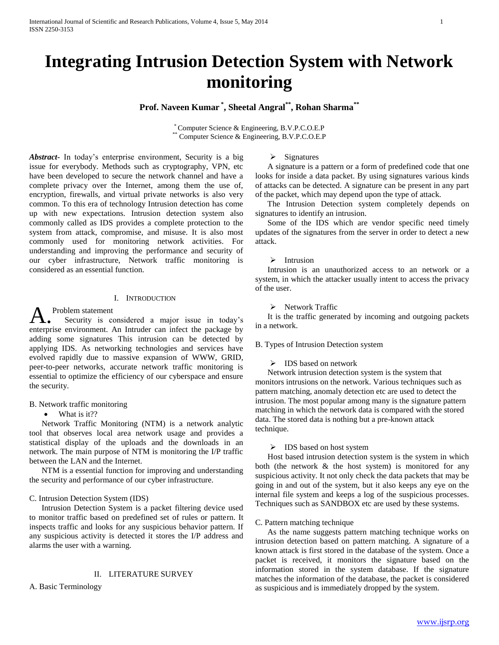# **Integrating Intrusion Detection System with Network monitoring**

# **Prof. Naveen Kumar \* , Sheetal Angral\*\* , Rohan Sharma\*\***

\* Computer Science & Engineering, B.V.P.C.O.E.P \*\*\* Computer Science & Engineering, B.V.P.C.O.E.P

*Abstract***-** In today's enterprise environment, Security is a big issue for everybody. Methods such as cryptography, VPN, etc have been developed to secure the network channel and have a complete privacy over the Internet, among them the use of, encryption, firewalls, and virtual private networks is also very common. To this era of technology Intrusion detection has come up with new expectations. Intrusion detection system also commonly called as IDS provides a complete protection to the system from attack, compromise, and misuse. It is also most commonly used for monitoring network activities. For understanding and improving the performance and security of our cyber infrastructure, Network traffic monitoring is considered as an essential function.

#### I. INTRODUCTION

Problem statement

 Security is considered a major issue in today's A. Problem statement<br>enterprise environment. An Intruder can infect the package by adding some signatures This intrusion can be detected by applying IDS. As networking technologies and services have evolved rapidly due to massive expansion of WWW, GRID, peer-to-peer networks, accurate network traffic monitoring is essential to optimize the efficiency of our cyberspace and ensure the security.

## B. Network traffic monitoring

• What is it??

 Network Traffic Monitoring (NTM) is a network analytic tool that observes local area network usage and provides a statistical display of the uploads and the downloads in an network. The main purpose of NTM is monitoring the I/P traffic between the LAN and the Internet.

 NTM is a essential function for improving and understanding the security and performance of our cyber infrastructure.

## C. Intrusion Detection System (IDS)

 Intrusion Detection System is a packet filtering device used to monitor traffic based on predefined set of rules or pattern. It inspects traffic and looks for any suspicious behavior pattern. If any suspicious activity is detected it stores the I/P address and alarms the user with a warning.

#### II. LITERATURE SURVEY

A. Basic Terminology

# $\triangleright$  Signatures

 A signature is a pattern or a form of predefined code that one looks for inside a data packet. By using signatures various kinds of attacks can be detected. A signature can be present in any part of the packet, which may depend upon the type of attack.

 The Intrusion Detection system completely depends on signatures to identify an intrusion.

 Some of the IDS which are vendor specific need timely updates of the signatures from the server in order to detect a new attack.

## $\triangleright$  Intrusion

 Intrusion is an unauthorized access to an network or a system, in which the attacker usually intent to access the privacy of the user.

 $\triangleright$  Network Traffic

 It is the traffic generated by incoming and outgoing packets in a network.

B. Types of Intrusion Detection system

## > IDS based on network

 Network intrusion detection system is the system that monitors intrusions on the network. Various techniques such as pattern matching, anomaly detection etc are used to detect the intrusion. The most popular among many is the signature pattern matching in which the network data is compared with the stored data. The stored data is nothing but a pre-known attack technique.

## > IDS based on host system

 Host based intrusion detection system is the system in which both (the network & the host system) is monitored for any suspicious activity. It not only check the data packets that may be going in and out of the system, but it also keeps any eye on the internal file system and keeps a log of the suspicious processes. Techniques such as SANDBOX etc are used by these systems.

## C. Pattern matching technique

 As the name suggests pattern matching technique works on intrusion detection based on pattern matching. A signature of a known attack is first stored in the database of the system. Once a packet is received, it monitors the signature based on the information stored in the system database. If the signature matches the information of the database, the packet is considered as suspicious and is immediately dropped by the system.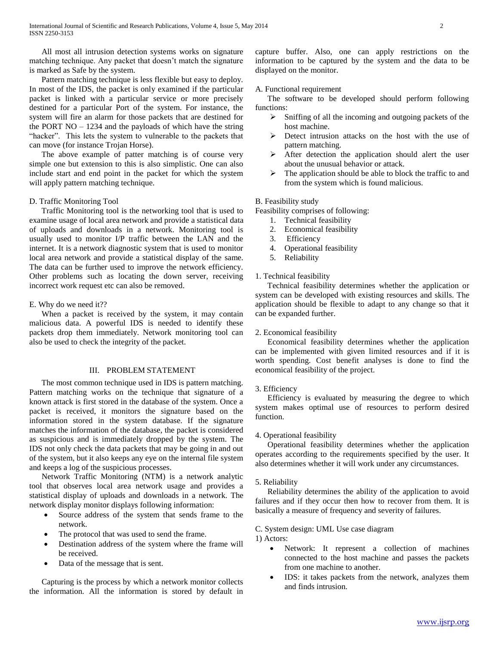All most all intrusion detection systems works on signature matching technique. Any packet that doesn't match the signature is marked as Safe by the system.

 Pattern matching technique is less flexible but easy to deploy. In most of the IDS, the packet is only examined if the particular packet is linked with a particular service or more precisely destined for a particular Port of the system. For instance, the system will fire an alarm for those packets that are destined for the PORT  $NO - 1234$  and the payloads of which have the string "hacker". This lets the system to vulnerable to the packets that can move (for instance Trojan Horse).

 The above example of patter matching is of course very simple one but extension to this is also simplistic. One can also include start and end point in the packet for which the system will apply pattern matching technique.

## D. Traffic Monitoring Tool

 Traffic Monitoring tool is the networking tool that is used to examine usage of local area network and provide a statistical data of uploads and downloads in a network. Monitoring tool is usually used to monitor I/P traffic between the LAN and the internet. It is a network diagnostic system that is used to monitor local area network and provide a statistical display of the same. The data can be further used to improve the network efficiency. Other problems such as locating the down server, receiving incorrect work request etc can also be removed.

## E. Why do we need it??

 When a packet is received by the system, it may contain malicious data. A powerful IDS is needed to identify these packets drop them immediately. Network monitoring tool can also be used to check the integrity of the packet.

## III. PROBLEM STATEMENT

 The most common technique used in IDS is pattern matching. Pattern matching works on the technique that signature of a known attack is first stored in the database of the system. Once a packet is received, it monitors the signature based on the information stored in the system database. If the signature matches the information of the database, the packet is considered as suspicious and is immediately dropped by the system. The IDS not only check the data packets that may be going in and out of the system, but it also keeps any eye on the internal file system and keeps a log of the suspicious processes.

 Network Traffic Monitoring (NTM) is a network analytic tool that observes local area network usage and provides a statistical display of uploads and downloads in a network. The network display monitor displays following information:

- Source address of the system that sends frame to the network.
- The protocol that was used to send the frame.
- Destination address of the system where the frame will be received.
- Data of the message that is sent.

 Capturing is the process by which a network monitor collects the information. All the information is stored by default in capture buffer. Also, one can apply restrictions on the information to be captured by the system and the data to be displayed on the monitor.

## A. Functional requirement

 The software to be developed should perform following functions:

- $\triangleright$  Sniffing of all the incoming and outgoing packets of the host machine.
- $\triangleright$  Detect intrusion attacks on the host with the use of pattern matching.
- $\triangleright$  After detection the application should alert the user about the unusual behavior or attack.
- $\triangleright$  The application should be able to block the traffic to and from the system which is found malicious.

## B. Feasibility study

Feasibility comprises of following:

- 1. Technical feasibility
- 2. Economical feasibility
- 3. Efficiency
- 4. Operational feasibility
- 5. Reliability

## 1. Technical feasibility

 Technical feasibility determines whether the application or system can be developed with existing resources and skills. The application should be flexible to adapt to any change so that it can be expanded further.

## 2. Economical feasibility

 Economical feasibility determines whether the application can be implemented with given limited resources and if it is worth spending. Cost benefit analyses is done to find the economical feasibility of the project.

## 3. Efficiency

 Efficiency is evaluated by measuring the degree to which system makes optimal use of resources to perform desired function.

## 4. Operational feasibility

 Operational feasibility determines whether the application operates according to the requirements specified by the user. It also determines whether it will work under any circumstances.

## 5. Reliability

 Reliability determines the ability of the application to avoid failures and if they occur then how to recover from them. It is basically a measure of frequency and severity of failures.

## C. System design: UML Use case diagram

1) Actors:

- Network: It represent a collection of machines connected to the host machine and passes the packets from one machine to another.
- IDS: it takes packets from the network, analyzes them and finds intrusion.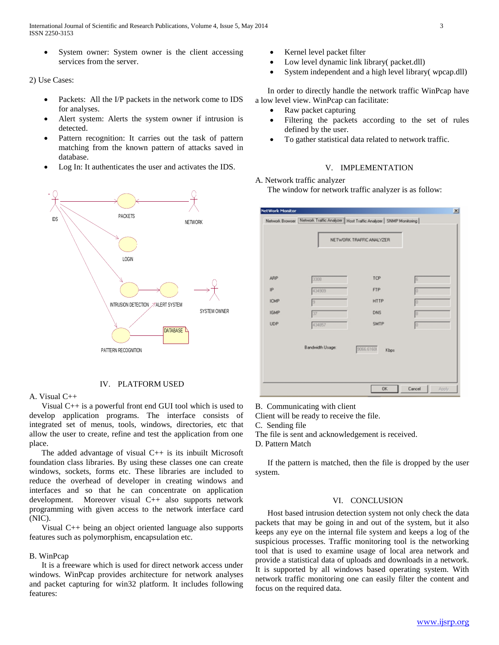International Journal of Scientific and Research Publications, Volume 4, Issue 5, May 2014 3 ISSN 2250-3153

 System owner: System owner is the client accessing services from the server.

2) Use Cases:

- Packets: All the I/P packets in the network come to IDS for analyses.
- Alert system: Alerts the system owner if intrusion is detected.
- Pattern recognition: It carries out the task of pattern matching from the known pattern of attacks saved in database.
- Log In: It authenticates the user and activates the IDS.



## IV. PLATFORM USED

#### A. Visual C++

 Visual C++ is a powerful front end GUI tool which is used to develop application programs. The interface consists of integrated set of menus, tools, windows, directories, etc that allow the user to create, refine and test the application from one place.

The added advantage of visual  $C++$  is its inbuilt Microsoft foundation class libraries. By using these classes one can create windows, sockets, forms etc. These libraries are included to reduce the overhead of developer in creating windows and interfaces and so that he can concentrate on application development. Moreover visual C++ also supports network programming with given access to the network interface card (NIC).

 Visual C++ being an object oriented language also supports features such as polymorphism, encapsulation etc.

## B. WinPcap

 It is a freeware which is used for direct network access under windows. WinPcap provides architecture for network analyses and packet capturing for win32 platform. It includes following features:

- Kernel level packet filter
- Low level dynamic link library( packet.dll)
- System independent and a high level library( wpcap.dll)

 In order to directly handle the network traffic WinPcap have a low level view. WinPcap can facilitate:

- Raw packet capturing
- Filtering the packets according to the set of rules defined by the user.
- To gather statistical data related to network traffic.

## V. IMPLEMENTATION

#### A. Network traffic analyzer

The window for network traffic analyzer is as follow:

|             | Network Browser Network Traffic Analyzer   Host Traffic Analyzer   SNMP Monitoring |                          |        |
|-------------|------------------------------------------------------------------------------------|--------------------------|--------|
|             |                                                                                    | NETWORK TRAFFIC ANALYZER |        |
| ARP         | 3308                                                                               | TCP                      | 16     |
| P           | 434909                                                                             | <b>FTP</b>               | Ю      |
| <b>ICMP</b> | 19                                                                                 | <b>HTTP</b>              | 0      |
| <b>IGMP</b> | 37                                                                                 | <b>DNS</b>               | 18     |
| <b>UDP</b>  | 434857                                                                             | SMTP                     | 10     |
|             | Bandwidth Usage:                                                                   | 3066.61600<br>Kbps       |        |
|             |                                                                                    |                          |        |
|             |                                                                                    | OK.                      | Cancel |

B. Communicating with client

Client will be ready to receive the file.

C. Sending file

The file is sent and acknowledgement is received.

D. Pattern Match

 If the pattern is matched, then the file is dropped by the user system.

## VI. CONCLUSION

 Host based intrusion detection system not only check the data packets that may be going in and out of the system, but it also keeps any eye on the internal file system and keeps a log of the suspicious processes. Traffic monitoring tool is the networking tool that is used to examine usage of local area network and provide a statistical data of uploads and downloads in a network. It is supported by all windows based operating system. With network traffic monitoring one can easily filter the content and focus on the required data.